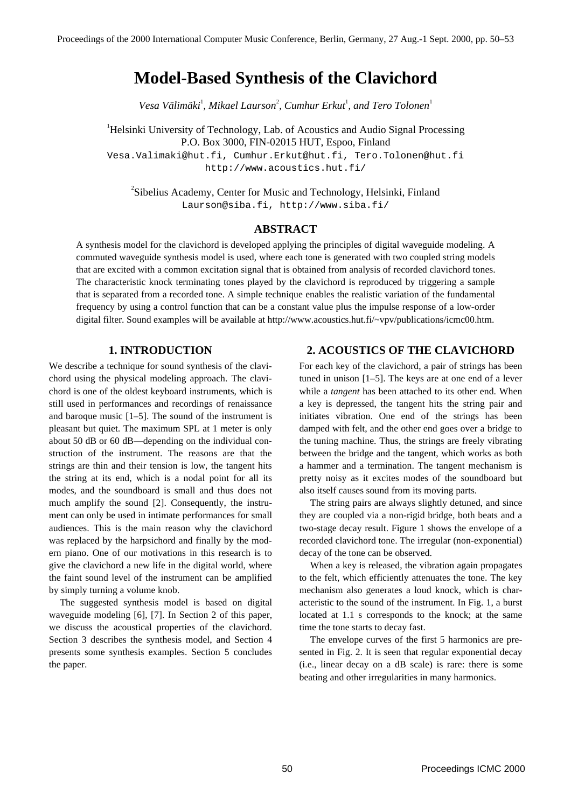# **Model-Based Synthesis of the Clavichord**

Vesa Välimäki<sup>1</sup>, Mikael Laurson<sup>2</sup>, Cumhur Erkut<sup>1</sup>, and Tero Tolonen<sup>1</sup>

<sup>1</sup>Helsinki University of Technology, Lab. of Acoustics and Audio Signal Processing P.O. Box 3000, FIN-02015 HUT, Espoo, Finland Vesa.Valimaki@hut.fi, Cumhur.Erkut@hut.fi, Tero.Tolonen@hut.fi http://www.acoustics.hut.fi/

<sup>2</sup>Sibelius Academy, Center for Music and Technology, Helsinki, Finland Laurson@siba.fi, http://www.siba.fi/

## **ABSTRACT**

A synthesis model for the clavichord is developed applying the principles of digital waveguide modeling. A commuted waveguide synthesis model is used, where each tone is generated with two coupled string models that are excited with a common excitation signal that is obtained from analysis of recorded clavichord tones. The characteristic knock terminating tones played by the clavichord is reproduced by triggering a sample that is separated from a recorded tone. A simple technique enables the realistic variation of the fundamental frequency by using a control function that can be a constant value plus the impulse response of a low-order digital filter. Sound examples will be available at http://www.acoustics.hut.fi/~vpv/publications/icmc00.htm.

#### **1. INTRODUCTION**

We describe a technique for sound synthesis of the clavichord using the physical modeling approach. The clavichord is one of the oldest keyboard instruments, which is still used in performances and recordings of renaissance and baroque music [1–5]. The sound of the instrument is pleasant but quiet. The maximum SPL at 1 meter is only about 50 dB or 60 dB—depending on the individual construction of the instrument. The reasons are that the strings are thin and their tension is low, the tangent hits the string at its end, which is a nodal point for all its modes, and the soundboard is small and thus does not much amplify the sound [2]. Consequently, the instrument can only be used in intimate performances for small audiences. This is the main reason why the clavichord was replaced by the harpsichord and finally by the modern piano. One of our motivations in this research is to give the clavichord a new life in the digital world, where the faint sound level of the instrument can be amplified by simply turning a volume knob.

The suggested synthesis model is based on digital waveguide modeling [6], [7]. In Section 2 of this paper, we discuss the acoustical properties of the clavichord. Section 3 describes the synthesis model, and Section 4 presents some synthesis examples. Section 5 concludes the paper.

### **2. ACOUSTICS OF THE CLAVICHORD**

For each key of the clavichord, a pair of strings has been tuned in unison [1–5]. The keys are at one end of a lever while a *tangent* has been attached to its other end. When a key is depressed, the tangent hits the string pair and initiates vibration. One end of the strings has been damped with felt, and the other end goes over a bridge to the tuning machine. Thus, the strings are freely vibrating between the bridge and the tangent, which works as both a hammer and a termination. The tangent mechanism is pretty noisy as it excites modes of the soundboard but also itself causes sound from its moving parts.

The string pairs are always slightly detuned, and since they are coupled via a non-rigid bridge, both beats and a two-stage decay result. Figure 1 shows the envelope of a recorded clavichord tone. The irregular (non-exponential) decay of the tone can be observed.

When a key is released, the vibration again propagates to the felt, which efficiently attenuates the tone. The key mechanism also generates a loud knock, which is characteristic to the sound of the instrument. In Fig. 1, a burst located at 1.1 s corresponds to the knock; at the same time the tone starts to decay fast.

The envelope curves of the first 5 harmonics are presented in Fig. 2. It is seen that regular exponential decay (i.e., linear decay on a dB scale) is rare: there is some beating and other irregularities in many harmonics.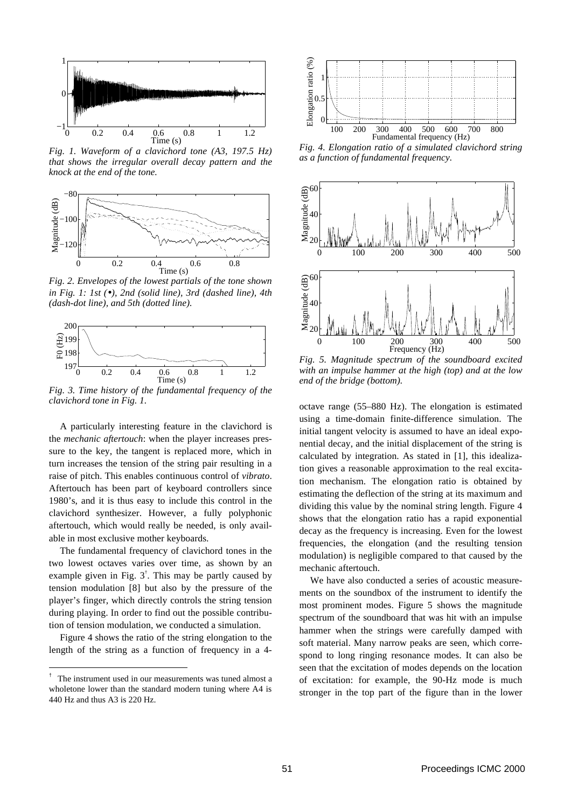

*Fig. 1. Waveform of a clavichord tone (A3, 197.5 Hz) that shows the irregular overall decay pattern and the knock at the end of the tone.*



*Fig. 2. Envelopes of the lowest partials of the tone shown in Fig. 1: 1st (*•*), 2nd (solid line), 3rd (dashed line), 4th (dash-dot line), and 5th (dotted line).*



*Fig. 3. Time history of the fundamental frequency of the clavichord tone in Fig. 1.*

A particularly interesting feature in the clavichord is the *mechanic aftertouch*: when the player increases pressure to the key, the tangent is replaced more, which in turn increases the tension of the string pair resulting in a raise of pitch. This enables continuous control of *vibrato*. Aftertouch has been part of keyboard controllers since 1980's, and it is thus easy to include this control in the clavichord synthesizer. However, a fully polyphonic aftertouch, which would really be needed, is only available in most exclusive mother keyboards.

The fundamental frequency of clavichord tones in the two lowest octaves varies over time, as shown by an example given in Fig.  $3^{\dagger}$ . This may be partly caused by tension modulation [8] but also by the pressure of the player's finger, which directly controls the string tension during playing. In order to find out the possible contribution of tension modulation, we conducted a simulation.

Figure 4 shows the ratio of the string elongation to the length of the string as a function of frequency in a 4-

÷,



*Fig. 4. Elongation ratio of a simulated clavichord string as a function of fundamental frequency.*



*Fig. 5. Magnitude spectrum of the soundboard excited with an impulse hammer at the high (top) and at the low end of the bridge (bottom).*

octave range (55–880 Hz). The elongation is estimated using a time-domain finite-difference simulation. The initial tangent velocity is assumed to have an ideal exponential decay, and the initial displacement of the string is calculated by integration. As stated in [1], this idealization gives a reasonable approximation to the real excitation mechanism. The elongation ratio is obtained by estimating the deflection of the string at its maximum and dividing this value by the nominal string length. Figure 4 shows that the elongation ratio has a rapid exponential decay as the frequency is increasing. Even for the lowest frequencies, the elongation (and the resulting tension modulation) is negligible compared to that caused by the mechanic aftertouch.

We have also conducted a series of acoustic measurements on the soundbox of the instrument to identify the most prominent modes. Figure 5 shows the magnitude spectrum of the soundboard that was hit with an impulse hammer when the strings were carefully damped with soft material. Many narrow peaks are seen, which correspond to long ringing resonance modes. It can also be seen that the excitation of modes depends on the location of excitation: for example, the 90-Hz mode is much stronger in the top part of the figure than in the lower

<sup>†</sup> The instrument used in our measurements was tuned almost a wholetone lower than the standard modern tuning where A4 is 440 Hz and thus A3 is 220 Hz.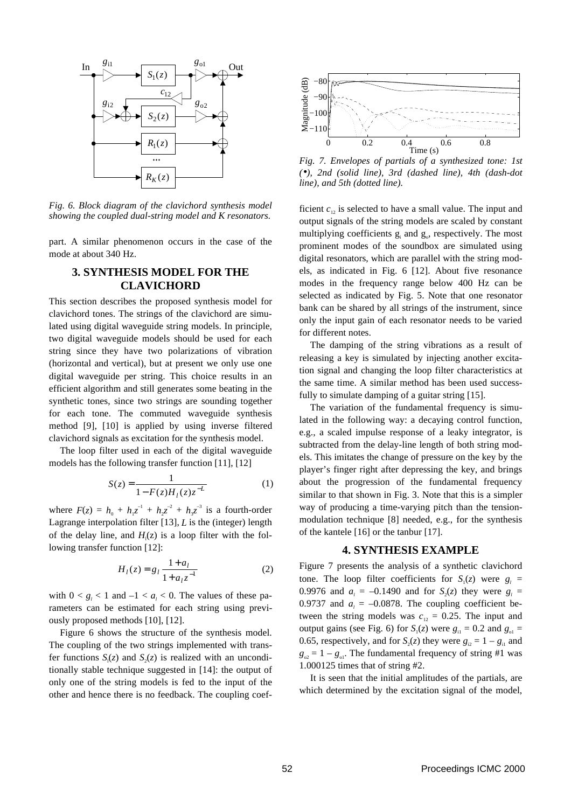

*Fig. 6. Block diagram of the clavichord synthesis model showing the coupled dual-string model and K resonators.*

part. A similar phenomenon occurs in the case of the mode at about 340 Hz.

## **3. SYNTHESIS MODEL FOR THE CLAVICHORD**

This section describes the proposed synthesis model for clavichord tones. The strings of the clavichord are simulated using digital waveguide string models. In principle, two digital waveguide models should be used for each string since they have two polarizations of vibration (horizontal and vertical), but at present we only use one digital waveguide per string. This choice results in an efficient algorithm and still generates some beating in the synthetic tones, since two strings are sounding together for each tone. The commuted waveguide synthesis method [9], [10] is applied by using inverse filtered clavichord signals as excitation for the synthesis model.

The loop filter used in each of the digital waveguide models has the following transfer function [11], [12]

$$
S(z) = \frac{1}{1 - F(z)H_1(z)z^{-L}}
$$
 (1)

where  $F(z) = h_0 + h_1 z^{-1} + h_2 z^{-2} + h_3 z^{-3}$  is a fourth-order Lagrange interpolation filter [13], *L* is the (integer) length of the delay line, and  $H_1(z)$  is a loop filter with the following transfer function [12]:

$$
H_{l}(z) = g_{l} \frac{1 + a_{l}}{1 + a_{l} z^{-1}}
$$
 (2)

with  $0 < g_i < 1$  and  $-1 < a_i < 0$ . The values of these parameters can be estimated for each string using previously proposed methods [10], [12].

Figure 6 shows the structure of the synthesis model. The coupling of the two strings implemented with transfer functions  $S_1(z)$  and  $S_2(z)$  is realized with an unconditionally stable technique suggested in [14]: the output of only one of the string models is fed to the input of the other and hence there is no feedback. The coupling coef-



*Fig. 7. Envelopes of partials of a synthesized tone: 1st (*•*), 2nd (solid line), 3rd (dashed line), 4th (dash-dot line), and 5th (dotted line).*

ficient  $c_{12}$  is selected to have a small value. The input and output signals of the string models are scaled by constant multiplying coefficients  $g_i$  and  $g_o$ , respectively. The most prominent modes of the soundbox are simulated using digital resonators, which are parallel with the string models, as indicated in Fig. 6 [12]. About five resonance modes in the frequency range below 400 Hz can be selected as indicated by Fig. 5. Note that one resonator bank can be shared by all strings of the instrument, since only the input gain of each resonator needs to be varied for different notes.

The damping of the string vibrations as a result of releasing a key is simulated by injecting another excitation signal and changing the loop filter characteristics at the same time. A similar method has been used successfully to simulate damping of a guitar string [15].

The variation of the fundamental frequency is simulated in the following way: a decaying control function, e.g., a scaled impulse response of a leaky integrator, is subtracted from the delay-line length of both string models. This imitates the change of pressure on the key by the player's finger right after depressing the key, and brings about the progression of the fundamental frequency similar to that shown in Fig. 3. Note that this is a simpler way of producing a time-varying pitch than the tensionmodulation technique [8] needed, e.g., for the synthesis of the kantele [16] or the tanbur [17].

## **4. SYNTHESIS EXAMPLE**

Figure 7 presents the analysis of a synthetic clavichord tone. The loop filter coefficients for  $S_1(z)$  were  $g_1 =$ 0.9976 and  $a_i = -0.1490$  and for  $S_2(z)$  they were  $g_i =$ 0.9737 and  $a_i = -0.0878$ . The coupling coefficient between the string models was  $c_{12} = 0.25$ . The input and output gains (see Fig. 6) for  $S_1(z)$  were  $g_{11} = 0.2$  and  $g_{01} =$ 0.65, respectively, and for  $S_2(z)$  they were  $g_{i2} = 1 - g_{i1}$  and  $g_{02} = 1 - g_{01}$ . The fundamental frequency of string #1 was 1.000125 times that of string #2.

It is seen that the initial amplitudes of the partials, are which determined by the excitation signal of the model,